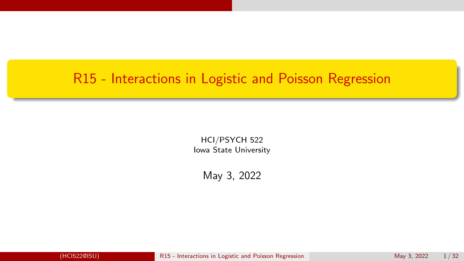## <span id="page-0-0"></span>R15 - Interactions in Logistic and Poisson Regression

HCI/PSYCH 522 Iowa State University

May 3, 2022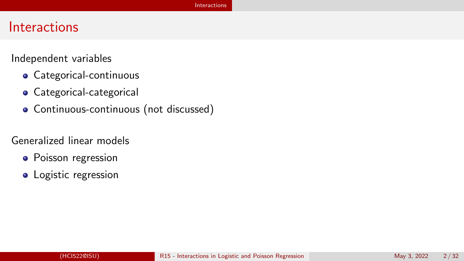## <span id="page-1-0"></span>**Interactions**

Independent variables

- Categorical-continuous
- **•** Categorical-categorical
- Continuous-continuous (not discussed)

Generalized linear models

- Poisson regression
- Logistic regression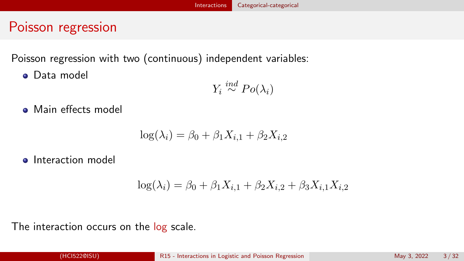## <span id="page-2-0"></span>Poisson regression

Poisson regression with two (continuous) independent variables:

**o** Data model

$$
Y_i \stackrel{ind}{\sim} Po(\lambda_i)
$$

• Main effects model

$$
\log(\lambda_i) = \beta_0 + \beta_1 X_{i,1} + \beta_2 X_{i,2}
$$

**o** Interaction model

$$
\log(\lambda_i) = \beta_0 + \beta_1 X_{i,1} + \beta_2 X_{i,2} + \beta_3 X_{i,1} X_{i,2}
$$

The interaction occurs on the log scale.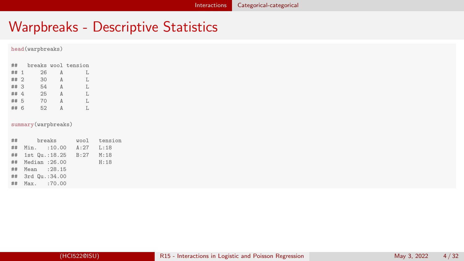## Warpbreaks - Descriptive Statistics

#### head(warpbreaks)

| ##   |   |     |          | breaks wool tension |
|------|---|-----|----------|---------------------|
| ## 1 |   | 26  | Α        | T.                  |
| ## 2 |   | 30  | Α        | T.                  |
| ## 3 |   | 54  | $\Delta$ | T.                  |
| ## 4 |   | 2.5 | Δ        | T.                  |
| ## 5 |   | 70  | Δ        | T.                  |
| ##   | 6 | 52  | Δ        | Т.                  |

#### summary(warpbreaks)

| breaks<br>$\#$ #         |           | wool tension |
|--------------------------|-----------|--------------|
| ## Min. :10.00 A:27 L:18 |           |              |
| ## 1st Qu.:18.25         | B:27 M:18 |              |
| ## Median : 26.00        |           | H:18         |
| ## Mean : 28.15          |           |              |
| ## 3rd Qu.:34.00         |           |              |
| ## Max. :70.00           |           |              |
|                          |           |              |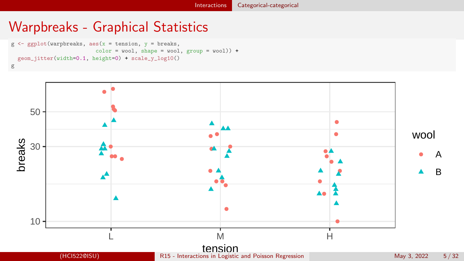## Warpbreaks - Graphical Statistics

```
g \leftarrow gplot(warpbreaks, aes(x = tension, y = breaks,color = wool, shape = wool, group = wool) +
  geom_jitter(width=0.1, height=0) + scale_v_log10()
g
```
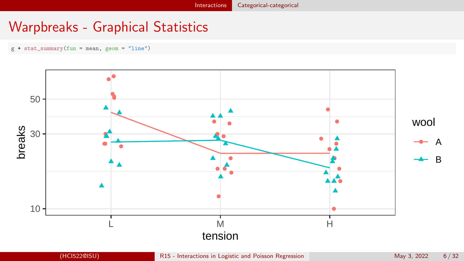# Warpbreaks - Graphical Statistics

g + stat\_summary(fun = mean, geom = "line")

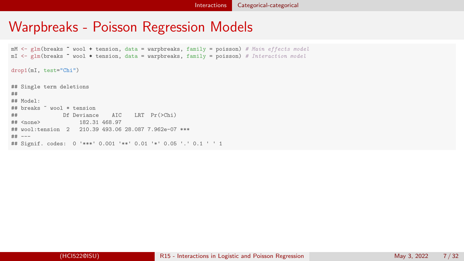#### [Interactions](#page-1-0) [Categorical-categorical](#page-2-0)

## Warpbreaks - Poisson Regression Models

 $mM \leq r$ lm(breaks  $\tilde{}}$  wool + tension, data = warpbreaks, family = poisson) # Main effects model  $mI \leq glm(breaks \text{ * } wool \text{ * } tension, data = warpbreaks, family = poisson) \text{ * } Interaction model$ 

drop1(mI, test="Chi")

## Single term deletions ## ## Model: ## breaks ~ wool \* tension ## Df Deviance AIC LRT Pr(>Chi) ## <none> 182.31 468.97 ## wool:tension 2 210.39 493.06 28.087 7.962e-07 \*\*\* ## --- ## Signif. codes: 0 '\*\*\*' 0.001 '\*\*' 0.01 '\*' 0.05 '.' 0.1 ' ' 1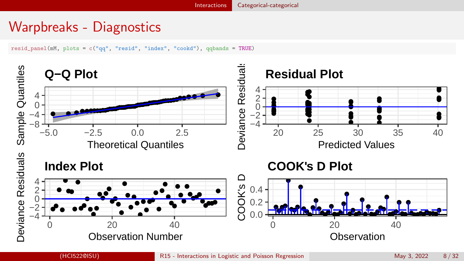#### [Interactions](#page-1-0) [Categorical-categorical](#page-2-0)

# Warpbreaks - Diagnostics

resid\_panel(mM, plots = c("qq", "resid", "index", "cookd"), qqbands = TRUE)



(HCI522@ISU) [R15 - Interactions in Logistic and Poisson Regression](#page-0-0) May 3, 2022 8/32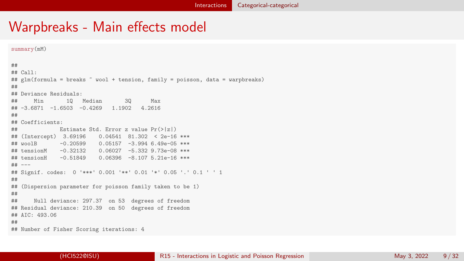```
summary(mM)
##
## Call:
## glm(formula = breaks ~ wool + tension, family = poisson, data = warpbreaks)
##
## Deviance Residuals:
## Min 1Q Median 3Q Max
## -3.6871 -1.6503 -0.4269 1.1902 4.2616
##
## Coefficients:
## Estimate Std. Error z value Pr(>|z|)
## (Intercept) 3.69196 0.04541 81.302 < 2e-16 ***
           -0.20599 0.05157 -3.994 6.49e-05 ***
## tensionM -0.32132 0.06027 -5.332 9.73e-08 ***
                        0.06396 -8.107 5.21e-16 ***
## ---
## Signif. codes: 0 '***' 0.001 '**' 0.01 '*' 0.05 '.' 0.1 ' ' 1
##
## (Dispersion parameter for poisson family taken to be 1)
##
## Null deviance: 297.37 on 53 degrees of freedom
## Residual deviance: 210.39 on 50 degrees of freedom
## AIC: 493.06
##
## Number of Fisher Scoring iterations: 4
```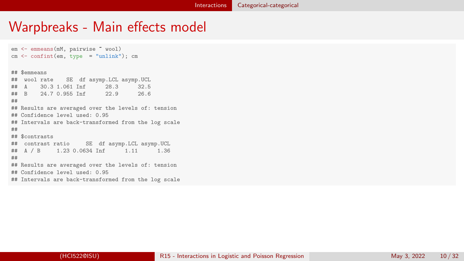```
em <- emmeans(mM, pairwise ~ wool)
cm < - confint(em, type = "unlink"); cm
## $emmeans
## wool rate SE df asymp.LCL asymp.UCL
## A 30.3 1.061 Inf<br>## B 24.7 0.955 Inf
       24.7 0.955 Inf 22.9 26.6
##
## Results are averaged over the levels of: tension
## Confidence level used: 0.95
## Intervals are back-transformed from the log scale
##
## $contrasts
## contrast ratio SE df asymp.LCL asymp.UCL
## A / B 1.23 0.0634 Inf 1.11 1.36
##
## Results are averaged over the levels of: tension
## Confidence level used: 0.95
## Intervals are back-transformed from the log scale
```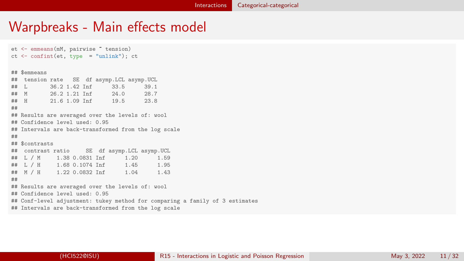et <- emmeans(mM, pairwise ~ tension)  $ct$  <- confint(et, type = "unlink");  $ct$ ## \$emmeans ## tension rate SE df asymp.LCL asymp.UCL ## L 36.2 1.42 Inf 33.5 39.1 26.2 1.21 Inf<br>21.6 1.09 Inf ## H 21.6 1.09 Inf 19.5 23.8 ## ## Results are averaged over the levels of: wool ## Confidence level used: 0.95 ## Intervals are back-transformed from the log scale ## ## \$contrasts ## contrast ratio SE df asymp.LCL asymp.UCL ## L / M 1.38 0.0831 Inf 1.20 1.59 ## L / H 1.68 0.1074 Inf ## M / H 1.22 0.0832 Inf 1.04 1.43 ## ## Results are averaged over the levels of: wool ## Confidence level used: 0.95 ## Conf-level adjustment: tukey method for comparing a family of 3 estimates ## Intervals are back-transformed from the log scale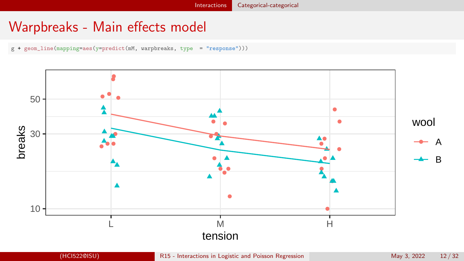g + geom\_line(mapping=aes(y=predict(mM, warpbreaks, type = "response")))

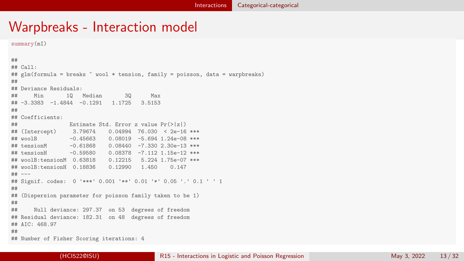summary(mI)

```
##
## Call:
## glm(formula = breaks " wool * tension, family = poisson, data = warpbreaks)
##
## Deviance Residuals:
## Min 1Q Median 3Q Max
## -3.3383 -1.4844 -0.1291 1.1725 3.5153
##
## Coefficients:
                Estimate Std. Error z value Pr(>|z|)
## (Intercept) 3.79674 0.04994 76.030 < 2e-16 ***
## woolB -0.45663 0.08019 -5.694 1.24e-08 ***
## tensionM -0.61868 0.08440 -7.330 2.30e-13 ***
           -0.59580 0.08378 -7.112 1.15e-12 ***
## woolB:tensionM 0.63818 0.12215 5.224 1.75e-07 ***
## woolB:tensionH 0.18836
## ---
## Signif. codes: 0 '***' 0.001 '**' 0.01 '*' 0.05 '.' 0.1 ' ' 1
##
## (Dispersion parameter for poisson family taken to be 1)
##
## Null deviance: 297.37 on 53 degrees of freedom
## Residual deviance: 182.31 on 48 degrees of freedom
## AIC: 468.97
##
## Number of Fisher Scoring iterations: 4
```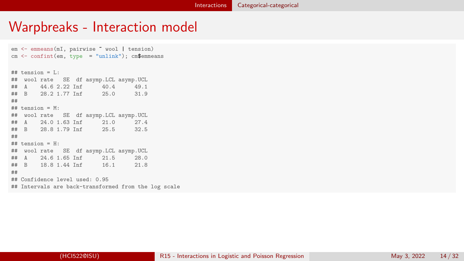em <- emmeans(mI, pairwise ~ wool | tension)  $cm < -$  confint(em, type = "unlink"); cm\$emmeans  $##$  tension =  $I \cdot$ ## wool rate SE df asymp.LCL asymp.UCL ## A 44.6 2.22 Inf 40.4 49.1 28.2 1.77 Inf 25.0 31.9 ## ## tension = M: ## wool rate SE df asymp.LCL asymp.UCL ## A 24.0 1.63 Inf 21.0 27.4 28.8 1.79 Inf 25.5 32.5 ## ## tension = H: ## wool rate SE df asymp.LCL asymp.UCL ## A 24.6 1.65 Inf 21.5 28.0 18.8 1.44 Inf 16.1 21.8 ## ## Confidence level used: 0.95 ## Intervals are back-transformed from the log scale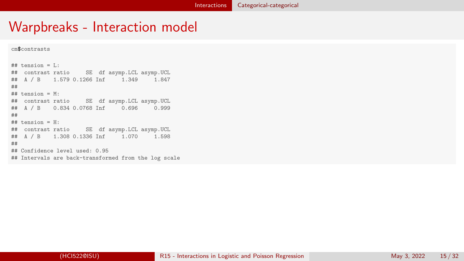```
cm$contrasts
```

```
## tension = L:
## contrast ratio SE df asymp.LCL asymp.UCL
## A / B 1.579 0.1266 Inf 1.349 1.847
##
## tension = M:
## contrast ratio SE df asymp.LCL asymp.UCL
## A / B 0.834 0.0768 Inf 0.696 0.999
##
## tension = H:
## contrast ratio SE df asymp.LCL asymp.UCL
## A / B 1.308 0.1336 Inf 1.070 1.598
##
## Confidence level used: 0.95
## Intervals are back-transformed from the log scale
```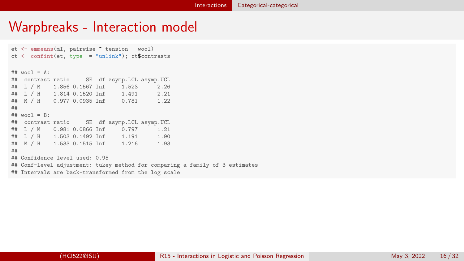et <- emmeans(mI, pairwise ~ tension | wool) ct  $\leftarrow$  confint(et, type = "unlink"); ct\$contrasts  $##$  wool = A: ## contrast ratio SE df asymp.LCL asymp.UCL ## L / M 1.856 0.1567 Inf ## L / H 1.814 0.1520 Inf 1.491 2.21 ## M / H 0.977 0.0935 Inf 0.781 1.22 ## ## wool = B:  $SE$  df asymp. LCL asymp. UCL 0.0866 Inf 0.797 1.21 ## L / M 0.981 0.0866 Inf<br>## L / H 1.503 0.1492 Inf ## L / H 1.503 0.1492 Inf 1.191 1.90<br>## M / H 1.533 0.1515 Inf 1.216 1.93 1.533 0.1515 Inf 1.216 1.93 ## ## Confidence level used: 0.95 ## Conf-level adjustment: tukey method for comparing a family of 3 estimates ## Intervals are back-transformed from the log scale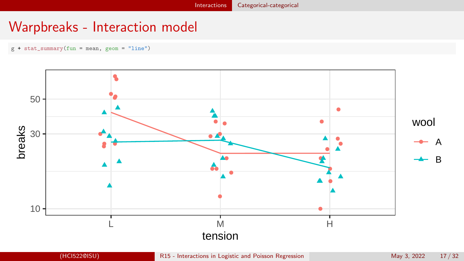$g + stat\_summary(fun = mean, geom = "line")$ 

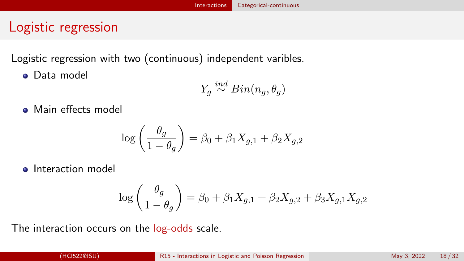# <span id="page-17-0"></span>Logistic regression

Logistic regression with two (continuous) independent varibles.

**o** Data model

$$
Y_g \stackrel{ind}{\sim} Bin(n_g, \theta_g)
$$

• Main effects model

$$
\log\left(\frac{\theta_g}{1-\theta_g}\right) = \beta_0 + \beta_1 X_{g,1} + \beta_2 X_{g,2}
$$

**a** Interaction model

$$
\log\left(\frac{\theta_g}{1-\theta_g}\right) = \beta_0 + \beta_1 X_{g,1} + \beta_2 X_{g,2} + \beta_3 X_{g,1} X_{g,2}
$$

The interaction occurs on the log-odds scale.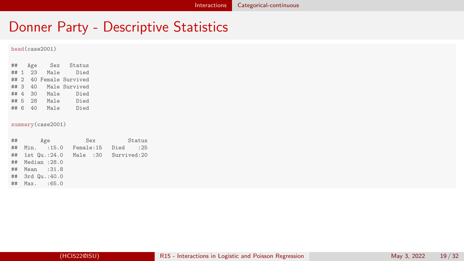## Donner Party - Descriptive Statistics

#### head(case2001)

| ##   |                | Age | Sex  | Status             |
|------|----------------|-----|------|--------------------|
| ##   | $\overline{1}$ | 23  | Male | Died               |
| ## 2 |                |     |      | 40 Female Survived |
| ##3  |                | 40  |      | Male Survived      |
| ## 4 |                | 30  | Male | Died               |
| ## 5 |                | 28  | Male | Died               |
| ##   | 6              | 40  | Male | Died               |

#### summary(case2001)

|    | $\#$ #<br>Age   | Sex        | Status               |
|----|-----------------|------------|----------------------|
| ## | Min. : 15.0     | Female: 15 | Died :25             |
|    | ## 1st Qu.:24.0 |            | Male :30 Survived:20 |
| ## | Median :28.0    |            |                      |
| ## | Mean :31.8      |            |                      |
|    | ## 3rd Qu.:40.0 |            |                      |
| ## | Max. :65.0      |            |                      |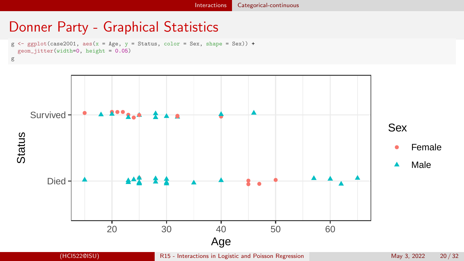## Donner Party - Graphical Statistics

```
g \leftarrow \text{gplot}(\text{case2001}, \text{aes}(x = \text{Age}, y = \text{Status}, \text{color} = \text{Sex}, \text{shape} = \text{Sex})) +
   geom_jitter(width=0, height = 0.05)
g
```


(HCI522@ISU) [R15 - Interactions in Logistic and Poisson Regression](#page-0-0) May 3, 2022 20/32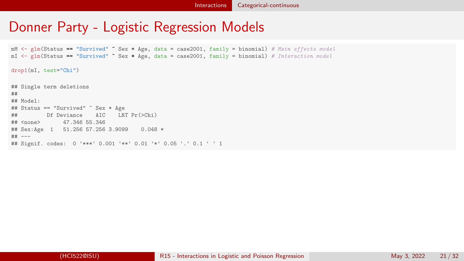## Donner Party - Logistic Regression Models

 $mM \leq$  glm(Status == "Survived"  $\tilde{\phantom{a}}$  Sex + Age, data = case2001, family = binomial) # Main effects model  $mI \leftarrow gIm(Status == "Survived" \sim Sex * Age, data = case2001, family = binomial) # International model$ 

drop1(mI, test="Chi")

## Single term deletions ## ## Model: ## Status == "Survived" ~ Sex \* Age ## Df Deviance AIC LRT Pr(>Chi) ## <none> 47.346 55.346 ## Sex:Age 1 51.256 57.256 3.9099 0.048 \* ## --- ## Signif. codes: 0 '\*\*\*' 0.001 '\*\*' 0.01 '\*' 0.05 '.' 0.1 ' ' 1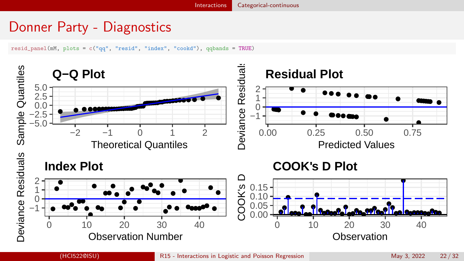# Donner Party - Diagnostics

resid\_panel(mM, plots = c("qq", "resid", "index", "cookd"), qqbands = TRUE)

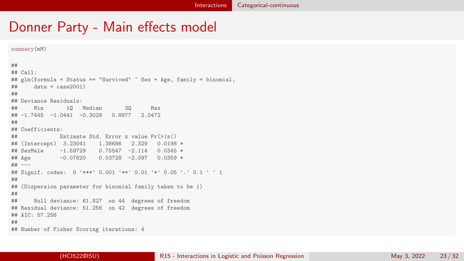summary(mM)

```
##
## Call:
## glm(formula = Status == "Survived" ~ Sex + Age, family = binomial,
\# data = case2001)
##
## Deviance Residuals:
## Min 1Q Median 3Q Max
## -1.7445 -1.0441 -0.3029 0.8877 2.0472
##
## Coefficients:
## Estimate Std. Error z value Pr(>|z|)
## (Intercept) 3.23041 1.38686
## SexMale -1.59729 0.75547 -2.114 0.0345 *
                        0.03728 -2.097 0.0359 *## ---
## Signif. codes: 0 '***' 0.001 '**' 0.01 '*' 0.05 '.' 0.1 ' ' 1
##
## (Dispersion parameter for binomial family taken to be 1)
##
## Null deviance: 61.827 on 44 degrees of freedom
## Residual deviance: 51.256 on 42 degrees of freedom
## AIC: 57.256
##
## Number of Fisher Scoring iterations: 4
```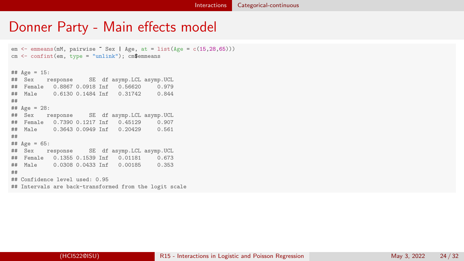```
em \leq emmeans(mM, pairwise \degree Sex | Age, at = list(Age = c(15,28,65)))
cm <- confint(em, type = "unlink"); cm$emmeans
## Age = 15:<br>## Sex r
           response SE df asymp.LCL asymp.UCL 0.8867 0.0918 Inf 0.56620 0.979
## Female 0.8867 0.0918 Inf 0.56620 0.979
   Male 0.6130 0.1484 Inf 0.31742
##
## Age = 28:<br>## Sex r
           r esponse SE df asymp.LCL asymp.UCL 0.7390 \quad 0.1217 Inf 0.45129 \quad 0.907## Female 0.7390 0.1217 Inf 0.45129 0.907
## Male  0.3643 0.0949 Inf  0.20429
##
## Age = 65:
## Sex response SE df asymp.LCL asymp.UCL
## Female 0.1355 0.1539 Inf 0.01181 0.673
## Male  0.0308 0.0433 Inf  0.00185
##
## Confidence level used: 0.95
## Intervals are back-transformed from the logit scale
```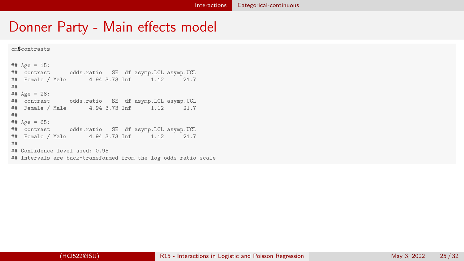```
cm$contrasts
```

```
## Age = 15:
## contrast odds.ratio SE df asymp.LCL asymp.UCL
## Female / Male 4.94 3.73 Inf 1.12 21.7
##
## A\sigma e = 28:
## contrast odds.ratio SE df asymp.LCL asymp.UCL
## Female / Male 4.94 3.73 Inf 1.12 21.7
##
## Age = 65:
## contrast odds.ratio SE df asymp.LCL asymp.UCL
## Female / Male 4.94 3.73 Inf 1.12 21.7
##
## Confidence level used: 0.95
## Intervals are back-transformed from the log odds ratio scale
```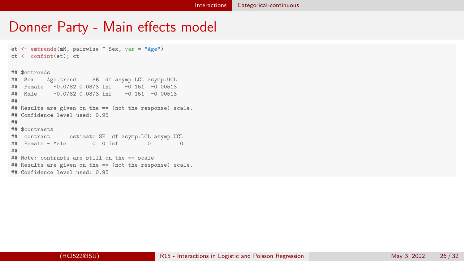```
et <- emtrends(mM, pairwise ~ Sex, var = "Age")
ct <- confint(et); ct
## $emtrends
       Age.trend SE df asymp.LCL asymp.UCL
## Female -0.0782 0.0373 Inf -0.151 -0.00513
## Male -0.0782 0.0373 Inf -0.151 -0.00513
##
## Results are given on the == (not the response) scale.
## Confidence level used: 0.95
##
## $contrasts
## contrast estimate SE df asymp.LCL asymp.UCL
## Female - Male 0 0 Inf 0 0
##
## Note: contrasts are still on the == scale
## Results are given on the == (not the response) scale.
## Confidence level used: 0.95
```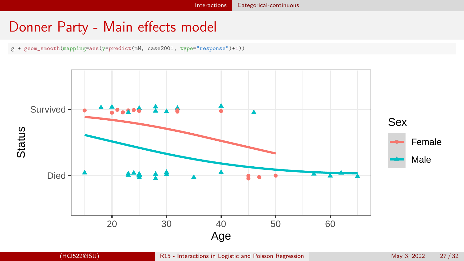g + geom\_smooth(mapping=aes(y=predict(mM, case2001, type="response")+1))

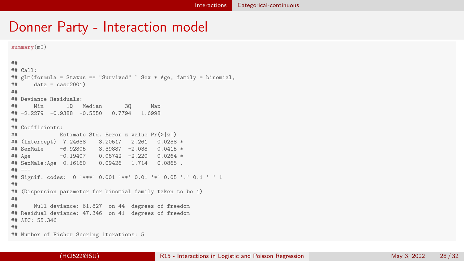```
summary(mI)
##
## Call:
## glm(formula = Status == "Survived" ~ Sex * Age, family = binomial,
\# data = case2001)
##
## Deviance Residuals:
## Min 1Q Median 3Q Max
## -2.2279 -0.9388 -0.5550 0.7794 1.6998
##
## Coefficients:
## Estimate Std. Error z value Pr(>|z|)
## (Intercept) 7.24638
## SexMale -6.92805 3.39887 -2.038 0.0415 *<br>## Age                 -0.19407     0.08742 -2.220   0.0264 *
       -0.19407 0.08742 -2.220 0.0264 *## SexMale:Age 0.16160 0.09426 1.714 0.0865 .
## ---
## Signif. codes: 0 '***' 0.001 '**' 0.01 '*' 0.05 '.' 0.1 ' ' 1
##
## (Dispersion parameter for binomial family taken to be 1)
##
## Null deviance: 61.827 on 44 degrees of freedom
## Residual deviance: 47.346 on 41 degrees of freedom
## AIC: 55.346
##
## Number of Fisher Scoring iterations: 5
```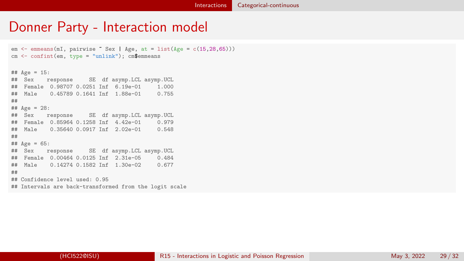```
em \leq emmeans(mI, pairwise \degree Sex | Age, at = list(Age = c(15,28,65)))
cm <- confint(em, type = "unlink"); cm$emmeans
## Age = 15:<br>## Sex r
         response SE df asymp.LCL asymp.UCL<br>le 0.98707 0.0251 Inf 6.19e-01 1.000
## Female 0.98707 0.0251 Inf 6.19e-01 1.000
## Male  0.45789 0.1641 Inf 1.88e-01
##
## Age = 28:<br>## Sex r
           r esponse SE df asymp.LCL asymp.UCL 0.85964 \cdot 0.1258 Inf 4.429 - 01 \cdot 0.979## Female 0.85964 0.1258 Inf 4.42e-01 0.979
## Male  0.35640 0.0917 Inf 2.02e-01
##
## Age = 65:
## Sex response SE df asymp.LCL asymp.UCL
## Female 0.00464 0.0125 Inf 2.31e-05 0.484
## Male 0.14274 0.1582 Inf 1.30e-02
##
## Confidence level used: 0.95
## Intervals are back-transformed from the logit scale
```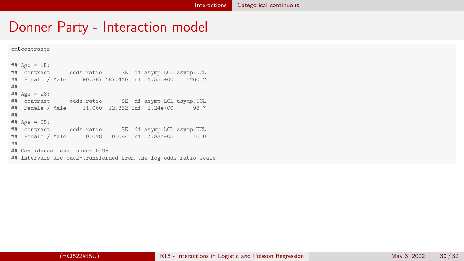```
cm$contrasts
```

```
## Age = 15:
## contrast odds.ratio SE df asymp.LCL asymp.UCL
## Female / Male 90.387 187.410 Inf 1.55e+00 5260.2
##
## A\sigma e = 28:
## contrast odds.ratio SE df asymp.LCL asymp.UCL
## Female / Male 11.060 12.352 Inf 1.24e+00 98.7
##
## Age = 65:
## contrast odds.ratio SE df asymp.LCL asymp.UCL
## Female / Male 0.028 0.084 Inf 7.83e-05 10.0
##
## Confidence level used: 0.95
## Intervals are back-transformed from the log odds ratio scale
```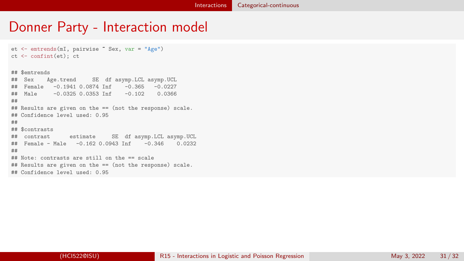```
et <- emtrends(mI, pairwise ~ Sex, var = "Age")
ct <- confint(et); ct
## $emtrends
       Age.trend SE df asymp.LCL asymp.UCL
## Female -0.1941 0.0874 Inf -0.365 -0.0227
## Male -0.0325 0.0353 Inf -0.102 0.0366
##
## Results are given on the == (not the response) scale.
## Confidence level used: 0.95
##
## $contrasts
## contrast estimate SE df asymp.LCL asymp.UCL
## Female - Male -0.162 0.0943 Inf -0.346 0.0232
##
## Note: contrasts are still on the == scale
## Results are given on the == (not the response) scale.
## Confidence level used: 0.95
```